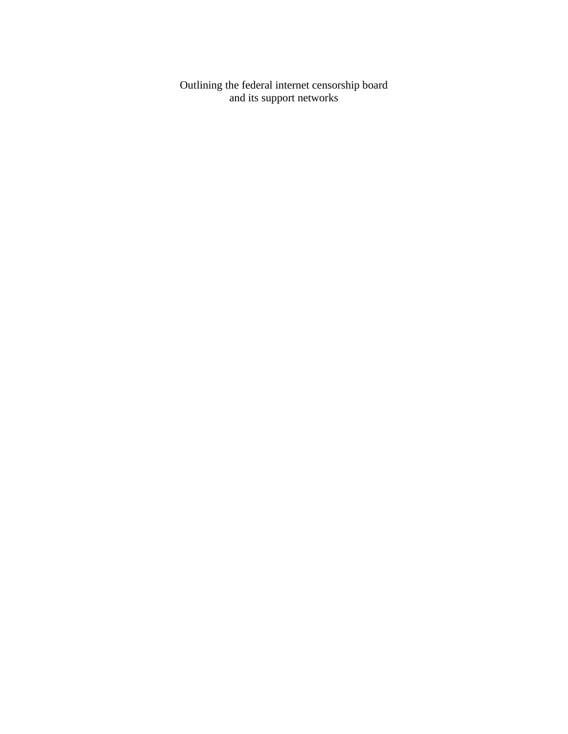Outlining the federal internet censorship board and its support networks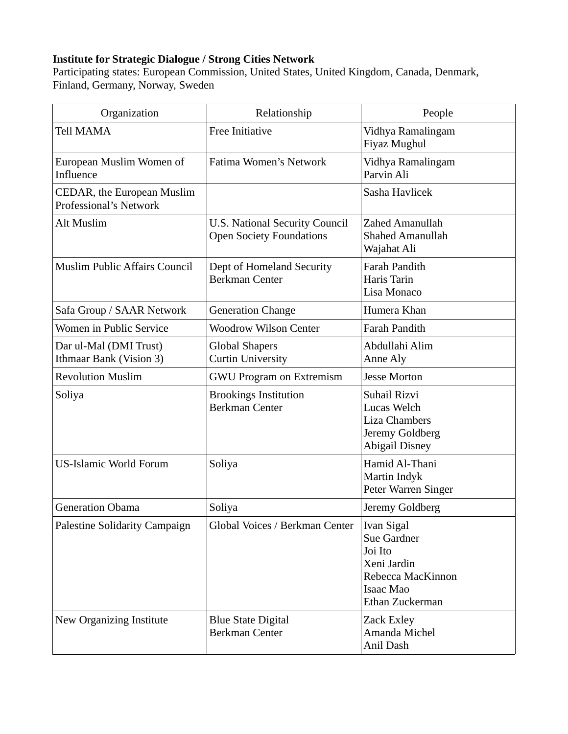#### **Institute for Strategic Dialogue / Strong Cities Network**

Participating states: European Commission, United States, United Kingdom, Canada, Denmark, Finland, Germany, Norway, Sweden

| Organization                                                | Relationship                                                             | People                                                                                                   |
|-------------------------------------------------------------|--------------------------------------------------------------------------|----------------------------------------------------------------------------------------------------------|
| <b>Tell MAMA</b>                                            | <b>Free Initiative</b>                                                   | Vidhya Ramalingam<br>Fiyaz Mughul                                                                        |
| European Muslim Women of<br>Influence                       | Fatima Women's Network                                                   | Vidhya Ramalingam<br>Parvin Ali                                                                          |
| CEDAR, the European Muslim<br><b>Professional's Network</b> |                                                                          | Sasha Havlicek                                                                                           |
| Alt Muslim                                                  | <b>U.S. National Security Council</b><br><b>Open Society Foundations</b> | Zahed Amanullah<br><b>Shahed Amanullah</b><br>Wajahat Ali                                                |
| <b>Muslim Public Affairs Council</b>                        | Dept of Homeland Security<br><b>Berkman Center</b>                       | Farah Pandith<br>Haris Tarin<br>Lisa Monaco                                                              |
| Safa Group / SAAR Network                                   | <b>Generation Change</b>                                                 | Humera Khan                                                                                              |
| Women in Public Service                                     | <b>Woodrow Wilson Center</b>                                             | Farah Pandith                                                                                            |
| Dar ul-Mal (DMI Trust)<br>Ithmaar Bank (Vision 3)           | <b>Global Shapers</b><br><b>Curtin University</b>                        | Abdullahi Alim<br>Anne Aly                                                                               |
| <b>Revolution Muslim</b>                                    | <b>GWU Program on Extremism</b>                                          | <b>Jesse Morton</b>                                                                                      |
| Soliya                                                      | <b>Brookings Institution</b><br><b>Berkman Center</b>                    | Suhail Rizvi<br>Lucas Welch<br><b>Liza Chambers</b><br>Jeremy Goldberg<br><b>Abigail Disney</b>          |
| <b>US-Islamic World Forum</b>                               | Soliya                                                                   | Hamid Al-Thani<br>Martin Indyk<br>Peter Warren Singer                                                    |
| <b>Generation Obama</b>                                     | Soliya                                                                   | Jeremy Goldberg                                                                                          |
| Palestine Solidarity Campaign                               | Global Voices / Berkman Center                                           | Ivan Sigal<br>Sue Gardner<br>Joi Ito<br>Xeni Jardin<br>Rebecca MacKinnon<br>Isaac Mao<br>Ethan Zuckerman |
| New Organizing Institute                                    | <b>Blue State Digital</b><br><b>Berkman Center</b>                       | Zack Exley<br>Amanda Michel<br>Anil Dash                                                                 |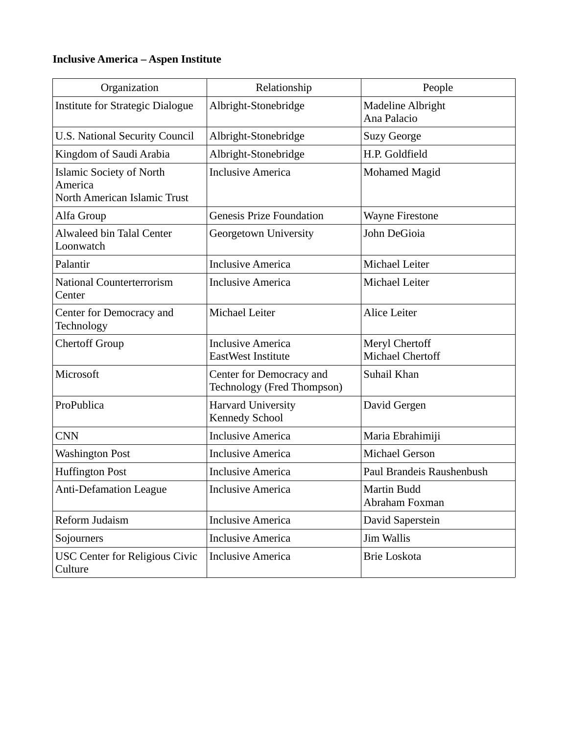## **Inclusive America – Aspen Institute**

| Organization                                                               | Relationship                                                  | People                                    |
|----------------------------------------------------------------------------|---------------------------------------------------------------|-------------------------------------------|
| <b>Institute for Strategic Dialogue</b>                                    | Albright-Stonebridge                                          | <b>Madeline Albright</b><br>Ana Palacio   |
| <b>U.S. National Security Council</b>                                      | Albright-Stonebridge                                          | <b>Suzy George</b>                        |
| Kingdom of Saudi Arabia                                                    | Albright-Stonebridge                                          | H.P. Goldfield                            |
| <b>Islamic Society of North</b><br>America<br>North American Islamic Trust | <b>Inclusive America</b>                                      | Mohamed Magid                             |
| Alfa Group                                                                 | <b>Genesis Prize Foundation</b>                               | <b>Wayne Firestone</b>                    |
| <b>Alwaleed bin Talal Center</b><br>Loonwatch                              | Georgetown University                                         | John DeGioia                              |
| Palantir                                                                   | <b>Inclusive America</b>                                      | Michael Leiter                            |
| <b>National Counterterrorism</b><br>Center                                 | <b>Inclusive America</b>                                      | Michael Leiter                            |
| Center for Democracy and<br>Technology                                     | Michael Leiter                                                | <b>Alice Leiter</b>                       |
| <b>Chertoff Group</b>                                                      | <b>Inclusive America</b><br>EastWest Institute                | Meryl Chertoff<br><b>Michael Chertoff</b> |
| Microsoft                                                                  | Center for Democracy and<br><b>Technology (Fred Thompson)</b> | Suhail Khan                               |
| ProPublica                                                                 | <b>Harvard University</b><br><b>Kennedy School</b>            | David Gergen                              |
| <b>CNN</b>                                                                 | <b>Inclusive America</b>                                      | Maria Ebrahimiji                          |
| <b>Washington Post</b>                                                     | <b>Inclusive America</b>                                      | <b>Michael Gerson</b>                     |
| <b>Huffington Post</b>                                                     | <b>Inclusive America</b>                                      | Paul Brandeis Raushenbush                 |
| <b>Anti-Defamation League</b>                                              | <b>Inclusive America</b>                                      | Martin Budd<br>Abraham Foxman             |
| Reform Judaism                                                             | <b>Inclusive America</b>                                      | David Saperstein                          |
| Sojourners                                                                 | <b>Inclusive America</b>                                      | Jim Wallis                                |
| <b>USC Center for Religious Civic</b><br>Culture                           | <b>Inclusive America</b>                                      | <b>Brie Loskota</b>                       |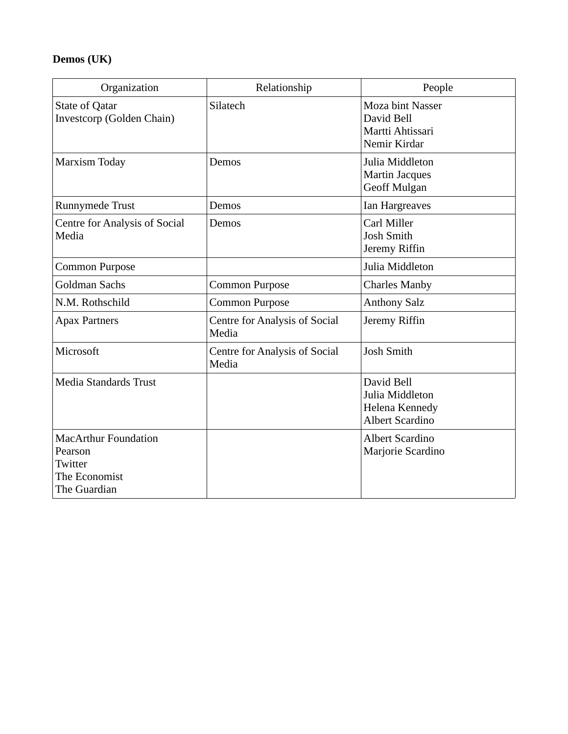## **Demos (UK)**

| Organization                                                                       | Relationship                                  | People                                                                           |
|------------------------------------------------------------------------------------|-----------------------------------------------|----------------------------------------------------------------------------------|
| <b>State of Qatar</b><br>Investcorp (Golden Chain)                                 | Silatech                                      | <b>Moza bint Nasser</b><br>David Bell<br>Martti Ahtissari<br>Nemir Kirdar        |
| <b>Marxism Today</b>                                                               | Demos                                         | Julia Middleton<br><b>Martin Jacques</b><br>Geoff Mulgan                         |
| Runnymede Trust                                                                    | Demos                                         | Ian Hargreaves                                                                   |
| <b>Centre for Analysis of Social</b><br>Media                                      | Demos                                         | Carl Miller<br><b>Josh Smith</b><br>Jeremy Riffin                                |
| Common Purpose                                                                     |                                               | Julia Middleton                                                                  |
| <b>Goldman Sachs</b>                                                               | Common Purpose                                | <b>Charles Manby</b>                                                             |
| N.M. Rothschild                                                                    | Common Purpose                                | <b>Anthony Salz</b>                                                              |
| <b>Apax Partners</b>                                                               | <b>Centre for Analysis of Social</b><br>Media | Jeremy Riffin                                                                    |
| Microsoft                                                                          | <b>Centre for Analysis of Social</b><br>Media | <b>Josh Smith</b>                                                                |
| Media Standards Trust                                                              |                                               | David Bell<br>Julia Middleton<br><b>Helena Kennedy</b><br><b>Albert Scardino</b> |
| <b>MacArthur Foundation</b><br>Pearson<br>Twitter<br>The Economist<br>The Guardian |                                               | <b>Albert Scardino</b><br>Marjorie Scardino                                      |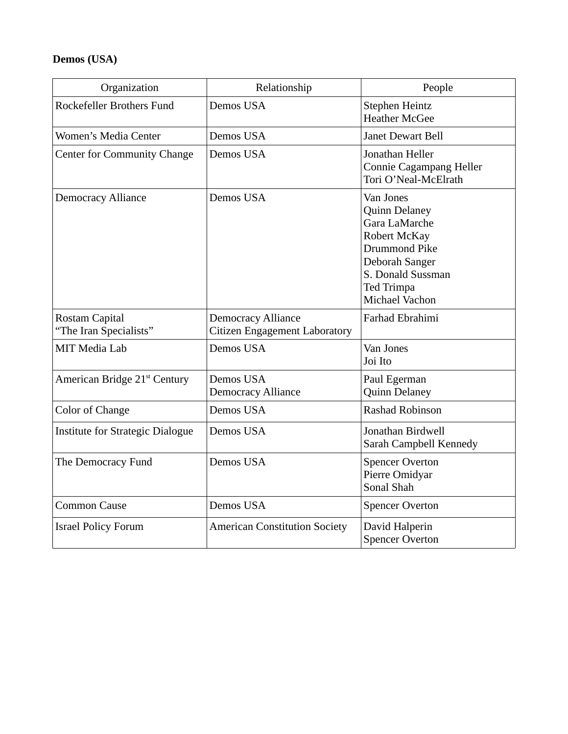## **Demos (USA)**

| Organization                                    | Relationship                                               | People                                                                                                                                                                   |
|-------------------------------------------------|------------------------------------------------------------|--------------------------------------------------------------------------------------------------------------------------------------------------------------------------|
| Rockefeller Brothers Fund                       | Demos USA                                                  | Stephen Heintz<br><b>Heather McGee</b>                                                                                                                                   |
| Women's Media Center                            | Demos USA                                                  | <b>Janet Dewart Bell</b>                                                                                                                                                 |
| <b>Center for Community Change</b>              | Demos USA                                                  | Jonathan Heller<br>Connie Cagampang Heller<br>Tori O'Neal-McElrath                                                                                                       |
| <b>Democracy Alliance</b>                       | Demos USA                                                  | Van Jones<br><b>Quinn Delaney</b><br>Gara LaMarche<br>Robert McKay<br>Drummond Pike<br>Deborah Sanger<br>S. Donald Sussman<br><b>Ted Trimpa</b><br><b>Michael Vachon</b> |
| <b>Rostam Capital</b><br>"The Iran Specialists" | <b>Democracy Alliance</b><br>Citizen Engagement Laboratory | Farhad Ebrahimi                                                                                                                                                          |
| <b>MIT Media Lab</b>                            | Demos USA                                                  | Van Jones<br>Joi Ito                                                                                                                                                     |
| American Bridge 21 <sup>st</sup> Century        | Demos USA<br><b>Democracy Alliance</b>                     | Paul Egerman<br><b>Quinn Delaney</b>                                                                                                                                     |
| <b>Color of Change</b>                          | Demos USA                                                  | Rashad Robinson                                                                                                                                                          |
| <b>Institute for Strategic Dialogue</b>         | Demos USA                                                  | Jonathan Birdwell<br>Sarah Campbell Kennedy                                                                                                                              |
| The Democracy Fund                              | Demos USA                                                  | <b>Spencer Overton</b><br>Pierre Omidyar<br>Sonal Shah                                                                                                                   |
| <b>Common Cause</b>                             | Demos USA                                                  | <b>Spencer Overton</b>                                                                                                                                                   |
| <b>Israel Policy Forum</b>                      | <b>American Constitution Society</b>                       | David Halperin<br><b>Spencer Overton</b>                                                                                                                                 |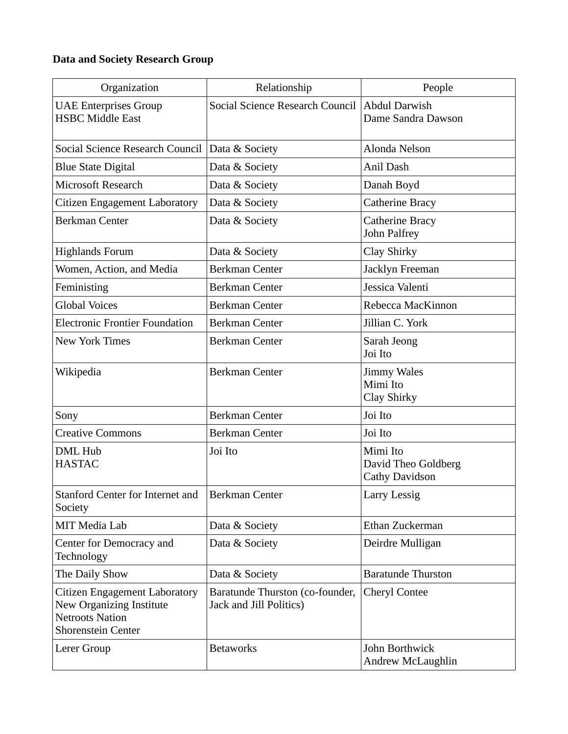## **Data and Society Research Group**

| Organization                                                                                                     | Relationship                                               | People                                            |
|------------------------------------------------------------------------------------------------------------------|------------------------------------------------------------|---------------------------------------------------|
| <b>UAE Enterprises Group</b><br><b>HSBC Middle East</b>                                                          | Social Science Research Council                            | <b>Abdul Darwish</b><br>Dame Sandra Dawson        |
| Social Science Research Council                                                                                  | Data & Society                                             | Alonda Nelson                                     |
| <b>Blue State Digital</b>                                                                                        | Data & Society                                             | Anil Dash                                         |
| <b>Microsoft Research</b>                                                                                        | Data & Society                                             | Danah Boyd                                        |
| Citizen Engagement Laboratory                                                                                    | Data & Society                                             | <b>Catherine Bracy</b>                            |
| <b>Berkman Center</b>                                                                                            | Data & Society                                             | Catherine Bracy<br>John Palfrey                   |
| <b>Highlands Forum</b>                                                                                           | Data & Society                                             | Clay Shirky                                       |
| Women, Action, and Media                                                                                         | Berkman Center                                             | Jacklyn Freeman                                   |
| Feministing                                                                                                      | <b>Berkman Center</b>                                      | Jessica Valenti                                   |
| <b>Global Voices</b>                                                                                             | <b>Berkman Center</b>                                      | Rebecca MacKinnon                                 |
| <b>Electronic Frontier Foundation</b>                                                                            | Berkman Center                                             | Jillian C. York                                   |
| <b>New York Times</b>                                                                                            | Berkman Center                                             | Sarah Jeong<br>Joi Ito                            |
| Wikipedia                                                                                                        | <b>Berkman Center</b>                                      | <b>Jimmy Wales</b><br>Mimi Ito<br>Clay Shirky     |
| Sony                                                                                                             | <b>Berkman Center</b>                                      | Joi Ito                                           |
| <b>Creative Commons</b>                                                                                          | <b>Berkman Center</b>                                      | Joi Ito                                           |
| <b>DML Hub</b><br><b>HASTAC</b>                                                                                  | Joi Ito                                                    | Mimi Ito<br>David Theo Goldberg<br>Cathy Davidson |
| <b>Stanford Center for Internet and</b><br>Society                                                               | <b>Berkman Center</b>                                      | <b>Larry Lessig</b>                               |
| <b>MIT Media Lab</b>                                                                                             | Data & Society                                             | Ethan Zuckerman                                   |
| Center for Democracy and<br>Technology                                                                           | Data & Society                                             | Deirdre Mulligan                                  |
| The Daily Show                                                                                                   | Data & Society                                             | <b>Baratunde Thurston</b>                         |
| Citizen Engagement Laboratory<br>New Organizing Institute<br><b>Netroots Nation</b><br><b>Shorenstein Center</b> | Baratunde Thurston (co-founder,<br>Jack and Jill Politics) | <b>Cheryl Contee</b>                              |
| Lerer Group                                                                                                      | <b>Betaworks</b>                                           | John Borthwick<br>Andrew McLaughlin               |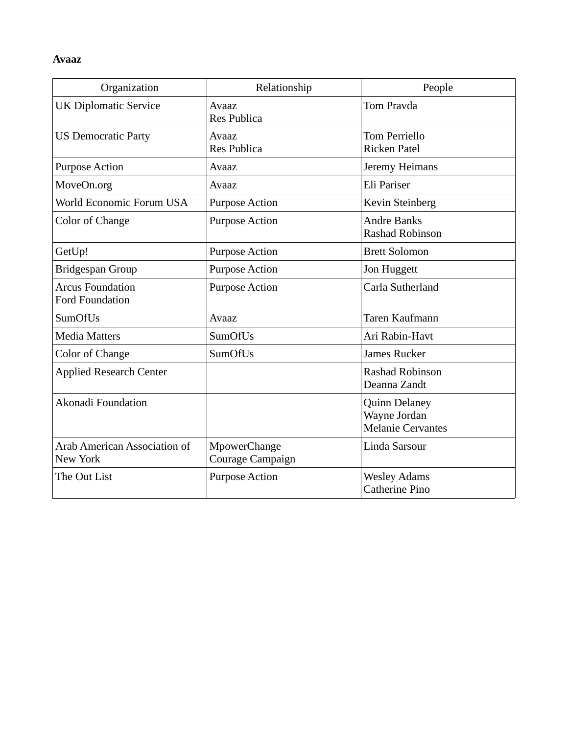#### **Avaaz**

| Organization                                      | Relationship                     | People                                                           |
|---------------------------------------------------|----------------------------------|------------------------------------------------------------------|
| <b>UK Diplomatic Service</b>                      | Avaaz<br><b>Res Publica</b>      | <b>Tom Pravda</b>                                                |
| <b>US Democratic Party</b>                        | Avaaz<br><b>Res Publica</b>      | Tom Perriello<br><b>Ricken Patel</b>                             |
| <b>Purpose Action</b>                             | Avaaz                            | Jeremy Heimans                                                   |
| MoveOn.org                                        | Avaaz                            | Eli Pariser                                                      |
| World Economic Forum USA                          | <b>Purpose Action</b>            | Kevin Steinberg                                                  |
| <b>Color of Change</b>                            | <b>Purpose Action</b>            | <b>Andre Banks</b><br><b>Rashad Robinson</b>                     |
| GetUp!                                            | <b>Purpose Action</b>            | <b>Brett Solomon</b>                                             |
| Bridgespan Group                                  | <b>Purpose Action</b>            | Jon Huggett                                                      |
| <b>Arcus Foundation</b><br><b>Ford Foundation</b> | <b>Purpose Action</b>            | Carla Sutherland                                                 |
| SumOfUs                                           | Avaaz                            | Taren Kaufmann                                                   |
| <b>Media Matters</b>                              | SumOfUs                          | Ari Rabin-Havt                                                   |
| <b>Color of Change</b>                            | SumOfUs                          | <b>James Rucker</b>                                              |
| <b>Applied Research Center</b>                    |                                  | <b>Rashad Robinson</b><br>Deanna Zandt                           |
| Akonadi Foundation                                |                                  | <b>Quinn Delaney</b><br>Wayne Jordan<br><b>Melanie Cervantes</b> |
| <b>Arab American Association of</b><br>New York   | MpowerChange<br>Courage Campaign | Linda Sarsour                                                    |
| The Out List                                      | <b>Purpose Action</b>            | <b>Wesley Adams</b><br>Catherine Pino                            |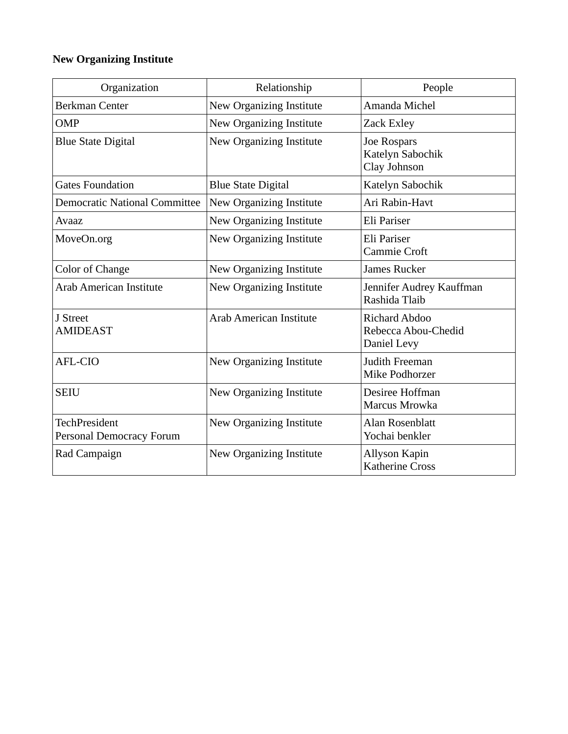## **New Organizing Institute**

| Organization                                     | Relationship              | People                                                     |
|--------------------------------------------------|---------------------------|------------------------------------------------------------|
| <b>Berkman Center</b>                            | New Organizing Institute  | Amanda Michel                                              |
| <b>OMP</b>                                       | New Organizing Institute  | Zack Exley                                                 |
| <b>Blue State Digital</b>                        | New Organizing Institute  | Joe Rospars<br>Katelyn Sabochik<br>Clay Johnson            |
| <b>Gates Foundation</b>                          | <b>Blue State Digital</b> | Katelyn Sabochik                                           |
| <b>Democratic National Committee</b>             | New Organizing Institute  | Ari Rabin-Havt                                             |
| Avaaz                                            | New Organizing Institute  | Eli Pariser                                                |
| MoveOn.org                                       | New Organizing Institute  | Eli Pariser<br>Cammie Croft                                |
| <b>Color of Change</b>                           | New Organizing Institute  | James Rucker                                               |
| <b>Arab American Institute</b>                   | New Organizing Institute  | Jennifer Audrey Kauffman<br>Rashida Tlaib                  |
| J Street<br><b>AMIDEAST</b>                      | Arab American Institute   | <b>Richard Abdoo</b><br>Rebecca Abou-Chedid<br>Daniel Levy |
| AFL-CIO                                          | New Organizing Institute  | Judith Freeman<br>Mike Podhorzer                           |
| <b>SEIU</b>                                      | New Organizing Institute  | Desiree Hoffman<br>Marcus Mrowka                           |
| <b>TechPresident</b><br>Personal Democracy Forum | New Organizing Institute  | <b>Alan Rosenblatt</b><br>Yochai benkler                   |
| Rad Campaign                                     | New Organizing Institute  | Allyson Kapin<br><b>Katherine Cross</b>                    |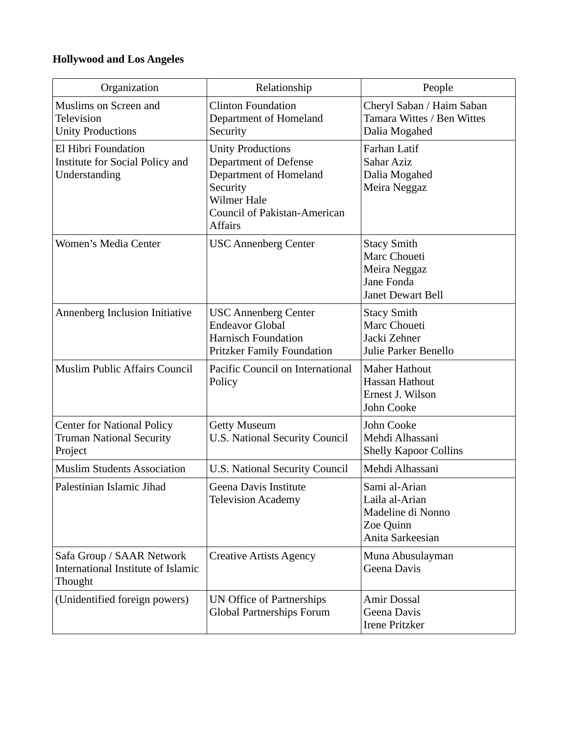## **Hollywood and Los Angeles**

| Organization                                                                    | Relationship                                                                                                                                                           | People                                                                                |
|---------------------------------------------------------------------------------|------------------------------------------------------------------------------------------------------------------------------------------------------------------------|---------------------------------------------------------------------------------------|
| Muslims on Screen and<br><b>Television</b><br><b>Unity Productions</b>          | <b>Clinton Foundation</b><br>Department of Homeland<br>Security                                                                                                        | Cheryl Saban / Haim Saban<br>Tamara Wittes / Ben Wittes<br>Dalia Mogahed              |
| El Hibri Foundation<br>Institute for Social Policy and<br>Understanding         | <b>Unity Productions</b><br><b>Department of Defense</b><br>Department of Homeland<br>Security<br><b>Wilmer Hale</b><br>Council of Pakistan-American<br><b>Affairs</b> | Farhan Latif<br><b>Sahar Aziz</b><br>Dalia Mogahed<br>Meira Neggaz                    |
| Women's Media Center                                                            | <b>USC Annenberg Center</b>                                                                                                                                            | <b>Stacy Smith</b><br>Marc Choueti<br>Meira Neggaz<br>Jane Fonda<br>Janet Dewart Bell |
| Annenberg Inclusion Initiative                                                  | <b>USC Annenberg Center</b><br><b>Endeavor Global</b><br><b>Harnisch Foundation</b><br><b>Pritzker Family Foundation</b>                                               | <b>Stacy Smith</b><br>Marc Choueti<br>Jacki Zehner<br>Julie Parker Benello            |
| <b>Muslim Public Affairs Council</b>                                            | Pacific Council on International<br>Policy                                                                                                                             | <b>Maher Hathout</b><br><b>Hassan Hathout</b><br>Ernest J. Wilson<br>John Cooke       |
| <b>Center for National Policy</b><br><b>Truman National Security</b><br>Project | <b>Getty Museum</b><br><b>U.S. National Security Council</b>                                                                                                           | John Cooke<br>Mehdi Alhassani<br><b>Shelly Kapoor Collins</b>                         |
| <b>Muslim Students Association</b>                                              | <b>U.S. National Security Council</b>                                                                                                                                  | Mehdi Alhassani                                                                       |
| Palestinian Islamic Jihad                                                       | Geena Davis Institute<br><b>Television Academy</b>                                                                                                                     | Sami al-Arian<br>Laila al-Arian<br>Madeline di Nonno<br>Zoe Quinn<br>Anita Sarkeesian |
| Safa Group / SAAR Network<br>International Institute of Islamic<br>Thought      | <b>Creative Artists Agency</b>                                                                                                                                         | Muna Abusulayman<br>Geena Davis                                                       |
| (Unidentified foreign powers)                                                   | <b>UN Office of Partnerships</b><br>Global Partnerships Forum                                                                                                          | Amir Dossal<br>Geena Davis<br><b>Irene Pritzker</b>                                   |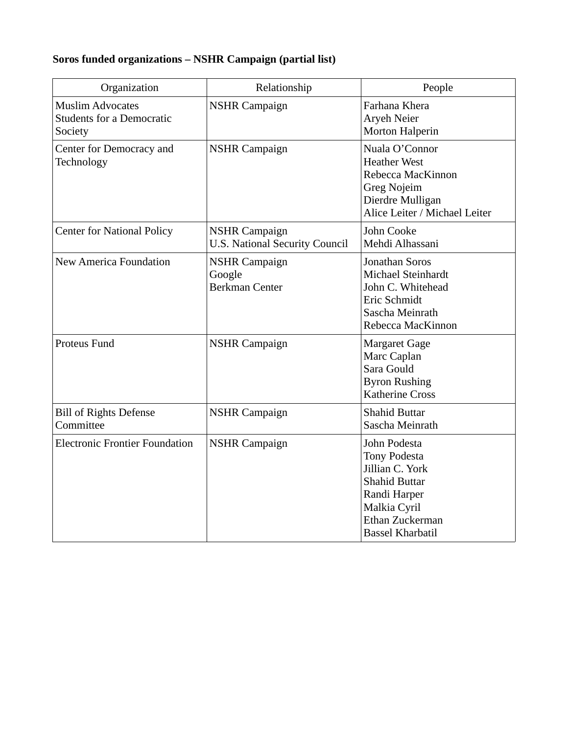# **Soros funded organizations – NSHR Campaign (partial list)**

| Organization                                                           | Relationship                                                  | People                                                                                                                                                       |
|------------------------------------------------------------------------|---------------------------------------------------------------|--------------------------------------------------------------------------------------------------------------------------------------------------------------|
| <b>Muslim Advocates</b><br><b>Students for a Democratic</b><br>Society | <b>NSHR Campaign</b>                                          | Farhana Khera<br><b>Aryeh Neier</b><br>Morton Halperin                                                                                                       |
| Center for Democracy and<br>Technology                                 | <b>NSHR Campaign</b>                                          | Nuala O'Connor<br><b>Heather West</b><br>Rebecca MacKinnon<br>Greg Nojeim<br>Dierdre Mulligan<br>Alice Leiter / Michael Leiter                               |
| <b>Center for National Policy</b>                                      | <b>NSHR Campaign</b><br><b>U.S. National Security Council</b> | John Cooke<br>Mehdi Alhassani                                                                                                                                |
| <b>New America Foundation</b>                                          | <b>NSHR Campaign</b><br>Google<br><b>Berkman Center</b>       | Jonathan Soros<br>Michael Steinhardt<br>John C. Whitehead<br>Eric Schmidt<br>Sascha Meinrath<br>Rebecca MacKinnon                                            |
| Proteus Fund                                                           | <b>NSHR Campaign</b>                                          | <b>Margaret Gage</b><br>Marc Caplan<br>Sara Gould<br><b>Byron Rushing</b><br><b>Katherine Cross</b>                                                          |
| <b>Bill of Rights Defense</b><br>Committee                             | <b>NSHR Campaign</b>                                          | <b>Shahid Buttar</b><br>Sascha Meinrath                                                                                                                      |
| <b>Electronic Frontier Foundation</b>                                  | <b>NSHR Campaign</b>                                          | John Podesta<br><b>Tony Podesta</b><br>Jillian C. York<br><b>Shahid Buttar</b><br>Randi Harper<br>Malkia Cyril<br>Ethan Zuckerman<br><b>Bassel Kharbatil</b> |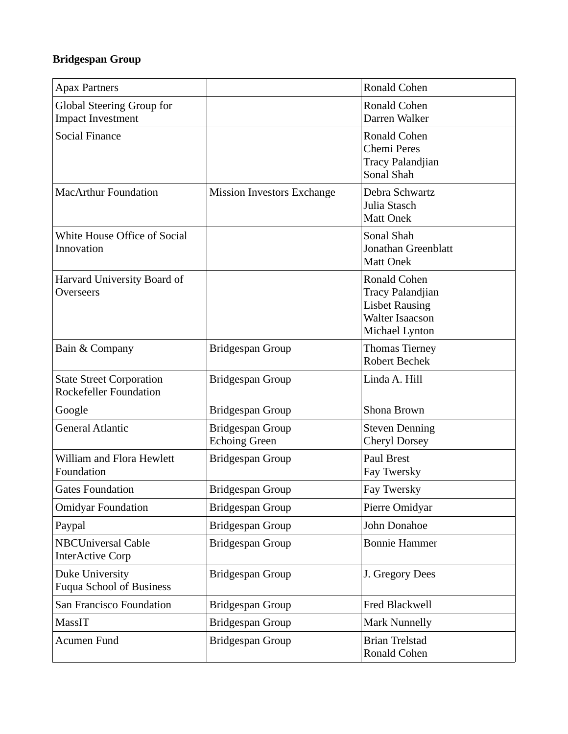## **Bridgespan Group**

| <b>Apax Partners</b>                                             |                                          | Ronald Cohen                                                                                                 |
|------------------------------------------------------------------|------------------------------------------|--------------------------------------------------------------------------------------------------------------|
|                                                                  |                                          |                                                                                                              |
| Global Steering Group for<br><b>Impact Investment</b>            |                                          | <b>Ronald Cohen</b><br>Darren Walker                                                                         |
| <b>Social Finance</b>                                            |                                          | Ronald Cohen<br>Chemi Peres<br>Tracy Palandjian<br>Sonal Shah                                                |
| <b>MacArthur Foundation</b>                                      | <b>Mission Investors Exchange</b>        | Debra Schwartz<br>Julia Stasch<br><b>Matt Onek</b>                                                           |
| White House Office of Social<br>Innovation                       |                                          | Sonal Shah<br>Jonathan Greenblatt<br><b>Matt Onek</b>                                                        |
| Harvard University Board of<br><b>Overseers</b>                  |                                          | Ronald Cohen<br><b>Tracy Palandjian</b><br><b>Lisbet Rausing</b><br><b>Walter Isaacson</b><br>Michael Lynton |
| Bain & Company                                                   | Bridgespan Group                         | <b>Thomas Tierney</b><br><b>Robert Bechek</b>                                                                |
| <b>State Street Corporation</b><br><b>Rockefeller Foundation</b> | Bridgespan Group                         | Linda A. Hill                                                                                                |
| Google                                                           | Bridgespan Group                         | Shona Brown                                                                                                  |
| <b>General Atlantic</b>                                          | Bridgespan Group<br><b>Echoing Green</b> | <b>Steven Denning</b><br><b>Cheryl Dorsey</b>                                                                |
| William and Flora Hewlett<br>Foundation                          | Bridgespan Group                         | Paul Brest<br>Fay Twersky                                                                                    |
| <b>Gates Foundation</b>                                          | Bridgespan Group                         | Fay Twersky                                                                                                  |
| <b>Omidyar Foundation</b>                                        | Bridgespan Group                         | Pierre Omidyar                                                                                               |
| Paypal                                                           | Bridgespan Group                         | John Donahoe                                                                                                 |
| <b>NBCUniversal Cable</b><br><b>InterActive Corp</b>             | Bridgespan Group                         | <b>Bonnie Hammer</b>                                                                                         |
| <b>Duke University</b><br><b>Fuqua School of Business</b>        | Bridgespan Group                         | J. Gregory Dees                                                                                              |
| San Francisco Foundation                                         | Bridgespan Group                         | Fred Blackwell                                                                                               |
| <b>MassIT</b>                                                    | Bridgespan Group                         | <b>Mark Nunnelly</b>                                                                                         |
| Acumen Fund                                                      | Bridgespan Group                         | <b>Brian Trelstad</b><br>Ronald Cohen                                                                        |